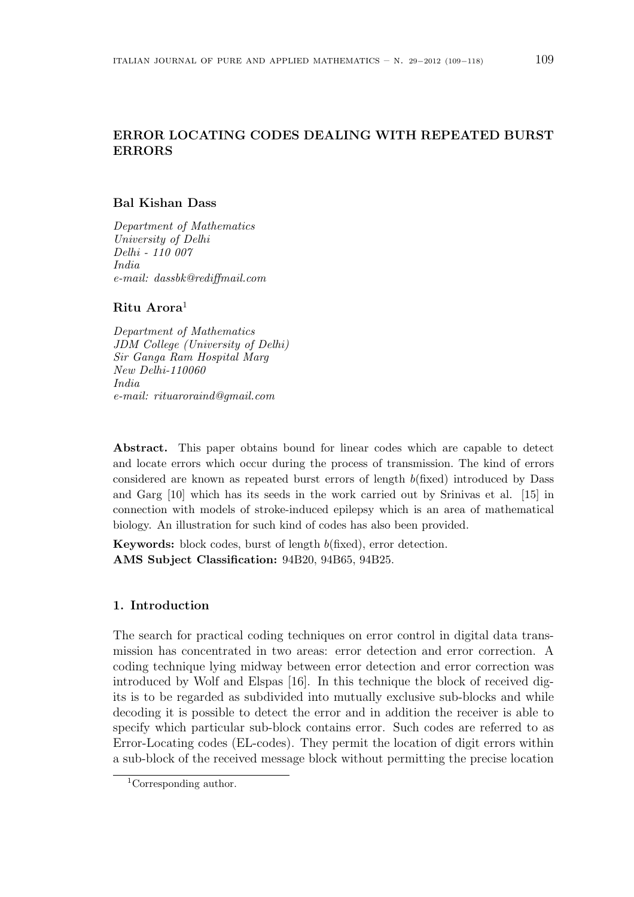# ERROR LOCATING CODES DEALING WITH REPEATED BURST ERRORS

## Bal Kishan Dass

Department of Mathematics University of Delhi Delhi - 110 007 India e-mail: dassbk@rediffmail.com

### Ritu Arora $<sup>1</sup>$ </sup>

Department of Mathematics JDM College (University of Delhi) Sir Ganga Ram Hospital Marg New Delhi-110060 India e-mail: rituaroraind@gmail.com

Abstract. This paper obtains bound for linear codes which are capable to detect and locate errors which occur during the process of transmission. The kind of errors considered are known as repeated burst errors of length b(fixed) introduced by Dass and Garg [10] which has its seeds in the work carried out by Srinivas et al. [15] in connection with models of stroke-induced epilepsy which is an area of mathematical biology. An illustration for such kind of codes has also been provided.

Keywords: block codes, burst of length b(fixed), error detection. AMS Subject Classification: 94B20, 94B65, 94B25.

## 1. Introduction

The search for practical coding techniques on error control in digital data transmission has concentrated in two areas: error detection and error correction. A coding technique lying midway between error detection and error correction was introduced by Wolf and Elspas [16]. In this technique the block of received digits is to be regarded as subdivided into mutually exclusive sub-blocks and while decoding it is possible to detect the error and in addition the receiver is able to specify which particular sub-block contains error. Such codes are referred to as Error-Locating codes (EL-codes). They permit the location of digit errors within a sub-block of the received message block without permitting the precise location

<sup>1</sup>Corresponding author.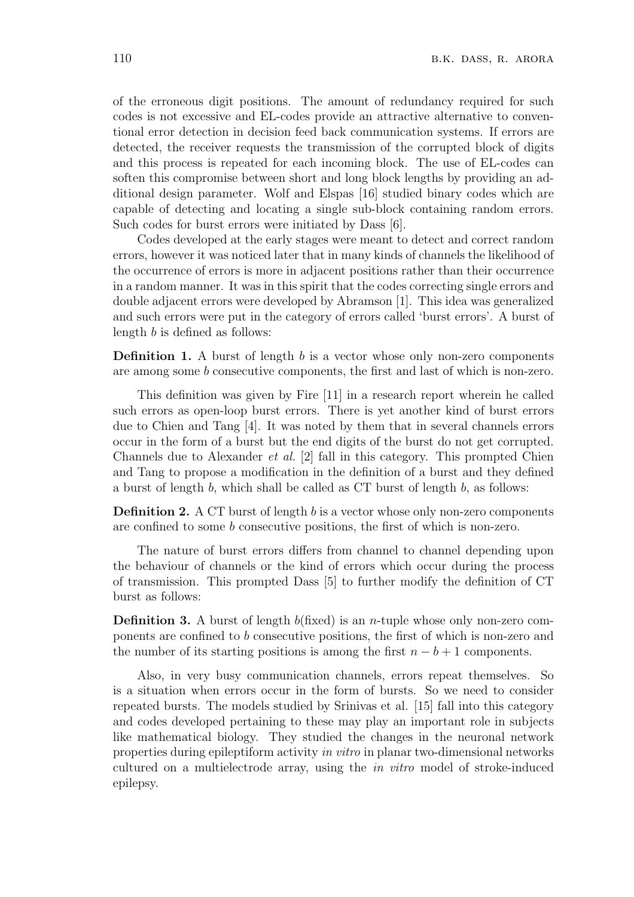of the erroneous digit positions. The amount of redundancy required for such codes is not excessive and EL-codes provide an attractive alternative to conventional error detection in decision feed back communication systems. If errors are detected, the receiver requests the transmission of the corrupted block of digits and this process is repeated for each incoming block. The use of EL-codes can soften this compromise between short and long block lengths by providing an additional design parameter. Wolf and Elspas [16] studied binary codes which are capable of detecting and locating a single sub-block containing random errors. Such codes for burst errors were initiated by Dass [6].

Codes developed at the early stages were meant to detect and correct random errors, however it was noticed later that in many kinds of channels the likelihood of the occurrence of errors is more in adjacent positions rather than their occurrence in a random manner. It was in this spirit that the codes correcting single errors and double adjacent errors were developed by Abramson [1]. This idea was generalized and such errors were put in the category of errors called 'burst errors'. A burst of length b is defined as follows:

**Definition 1.** A burst of length  $b$  is a vector whose only non-zero components are among some b consecutive components, the first and last of which is non-zero.

This definition was given by Fire [11] in a research report wherein he called such errors as open-loop burst errors. There is yet another kind of burst errors due to Chien and Tang [4]. It was noted by them that in several channels errors occur in the form of a burst but the end digits of the burst do not get corrupted. Channels due to Alexander et al. [2] fall in this category. This prompted Chien and Tang to propose a modification in the definition of a burst and they defined a burst of length b, which shall be called as CT burst of length b, as follows:

**Definition 2.** A CT burst of length  $b$  is a vector whose only non-zero components are confined to some b consecutive positions, the first of which is non-zero.

The nature of burst errors differs from channel to channel depending upon the behaviour of channels or the kind of errors which occur during the process of transmission. This prompted Dass [5] to further modify the definition of CT burst as follows:

**Definition 3.** A burst of length  $b$ (fixed) is an *n*-tuple whose only non-zero components are confined to b consecutive positions, the first of which is non-zero and the number of its starting positions is among the first  $n - b + 1$  components.

Also, in very busy communication channels, errors repeat themselves. So is a situation when errors occur in the form of bursts. So we need to consider repeated bursts. The models studied by Srinivas et al. [15] fall into this category and codes developed pertaining to these may play an important role in subjects like mathematical biology. They studied the changes in the neuronal network properties during epileptiform activity in vitro in planar two-dimensional networks cultured on a multielectrode array, using the in vitro model of stroke-induced epilepsy.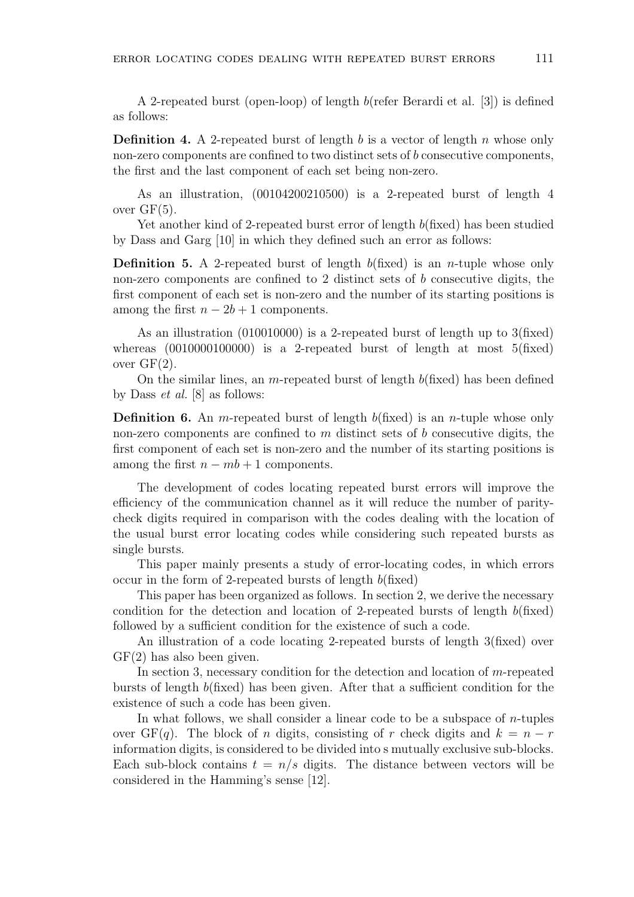A 2-repeated burst (open-loop) of length b(refer Berardi et al. [3]) is defined as follows:

**Definition 4.** A 2-repeated burst of length b is a vector of length n whose only non-zero components are confined to two distinct sets of b consecutive components, the first and the last component of each set being non-zero.

As an illustration, (00104200210500) is a 2-repeated burst of length 4 over  $GF(5)$ .

Yet another kind of 2-repeated burst error of length  $b$ (fixed) has been studied by Dass and Garg [10] in which they defined such an error as follows:

**Definition 5.** A 2-repeated burst of length  $b$ (fixed) is an *n*-tuple whose only non-zero components are confined to 2 distinct sets of b consecutive digits, the first component of each set is non-zero and the number of its starting positions is among the first  $n - 2b + 1$  components.

As an illustration (010010000) is a 2-repeated burst of length up to 3(fixed) whereas  $(0010000100000)$  is a 2-repeated burst of length at most  $5(fixed)$ over  $GF(2)$ .

On the similar lines, an *m*-repeated burst of length  $b$ (fixed) has been defined by Dass et al. [8] as follows:

**Definition 6.** An m-repeated burst of length  $b$ (fixed) is an *n*-tuple whose only non-zero components are confined to  $m$  distinct sets of  $b$  consecutive digits, the first component of each set is non-zero and the number of its starting positions is among the first  $n - mb + 1$  components.

The development of codes locating repeated burst errors will improve the efficiency of the communication channel as it will reduce the number of paritycheck digits required in comparison with the codes dealing with the location of the usual burst error locating codes while considering such repeated bursts as single bursts.

This paper mainly presents a study of error-locating codes, in which errors occur in the form of 2-repeated bursts of length  $b$ (fixed)

This paper has been organized as follows. In section 2, we derive the necessary condition for the detection and location of 2-repeated bursts of length  $b$ (fixed) followed by a sufficient condition for the existence of such a code.

An illustration of a code locating 2-repeated bursts of length 3(fixed) over GF(2) has also been given.

In section 3, necessary condition for the detection and location of m-repeated bursts of length b(fixed) has been given. After that a sufficient condition for the existence of such a code has been given.

In what follows, we shall consider a linear code to be a subspace of  $n$ -tuples over  $GF(q)$ . The block of n digits, consisting of r check digits and  $k = n - r$ information digits, is considered to be divided into s mutually exclusive sub-blocks. Each sub-block contains  $t = n/s$  digits. The distance between vectors will be considered in the Hamming's sense [12].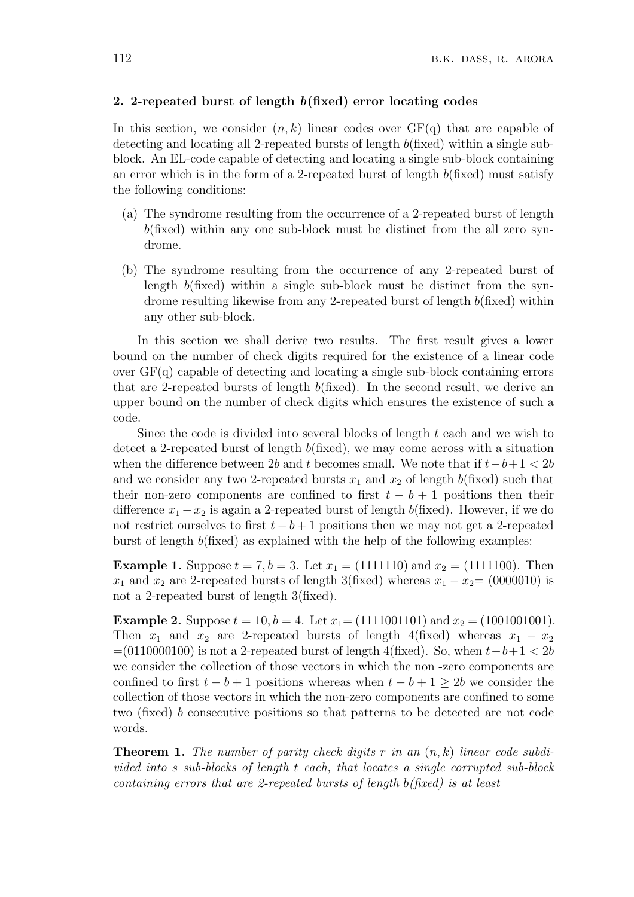#### 2. 2-repeated burst of length b(fixed) error locating codes

In this section, we consider  $(n, k)$  linear codes over  $GF(q)$  that are capable of detecting and locating all 2-repeated bursts of length b(fixed) within a single subblock. An EL-code capable of detecting and locating a single sub-block containing an error which is in the form of a 2-repeated burst of length  $b$ (fixed) must satisfy the following conditions:

- (a) The syndrome resulting from the occurrence of a 2-repeated burst of length  $b$ (fixed) within any one sub-block must be distinct from the all zero syndrome.
- (b) The syndrome resulting from the occurrence of any 2-repeated burst of length  $b$ (fixed) within a single sub-block must be distinct from the syndrome resulting likewise from any 2-repeated burst of length  $b$ (fixed) within any other sub-block.

In this section we shall derive two results. The first result gives a lower bound on the number of check digits required for the existence of a linear code over  $GF(q)$  capable of detecting and locating a single sub-block containing errors that are 2-repeated bursts of length  $b$ (fixed). In the second result, we derive an upper bound on the number of check digits which ensures the existence of such a code.

Since the code is divided into several blocks of length  $t$  each and we wish to detect a 2-repeated burst of length b(fixed), we may come across with a situation when the difference between 2b and t becomes small. We note that if  $t-b+1 < 2b$ and we consider any two 2-repeated bursts  $x_1$  and  $x_2$  of length  $b$ (fixed) such that their non-zero components are confined to first  $t - b + 1$  positions then their difference  $x_1 - x_2$  is again a 2-repeated burst of length b(fixed). However, if we do not restrict ourselves to first  $t - b + 1$  positions then we may not get a 2-repeated burst of length  $b$ (fixed) as explained with the help of the following examples:

**Example 1.** Suppose  $t = 7, b = 3$ . Let  $x_1 = (1111110)$  and  $x_2 = (1111100)$ . Then  $x_1$  and  $x_2$  are 2-repeated bursts of length 3(fixed) whereas  $x_1 - x_2 = (0000010)$  is not a 2-repeated burst of length 3(fixed).

**Example 2.** Suppose  $t = 10, b = 4$ . Let  $x_1 = (1111001101)$  and  $x_2 = (1001001001)$ . Then  $x_1$  and  $x_2$  are 2-repeated bursts of length 4(fixed) whereas  $x_1 - x_2$  $=(0110000100)$  is not a 2-repeated burst of length 4(fixed). So, when  $t-b+1 < 2b$ we consider the collection of those vectors in which the non -zero components are confined to first  $t - b + 1$  positions whereas when  $t - b + 1 > 2b$  we consider the collection of those vectors in which the non-zero components are confined to some two (fixed) b consecutive positions so that patterns to be detected are not code words.

**Theorem 1.** The number of parity check digits r in an  $(n, k)$  linear code subdivided into s sub-blocks of length t each, that locates a single corrupted sub-block containing errors that are 2-repeated bursts of length b(fixed) is at least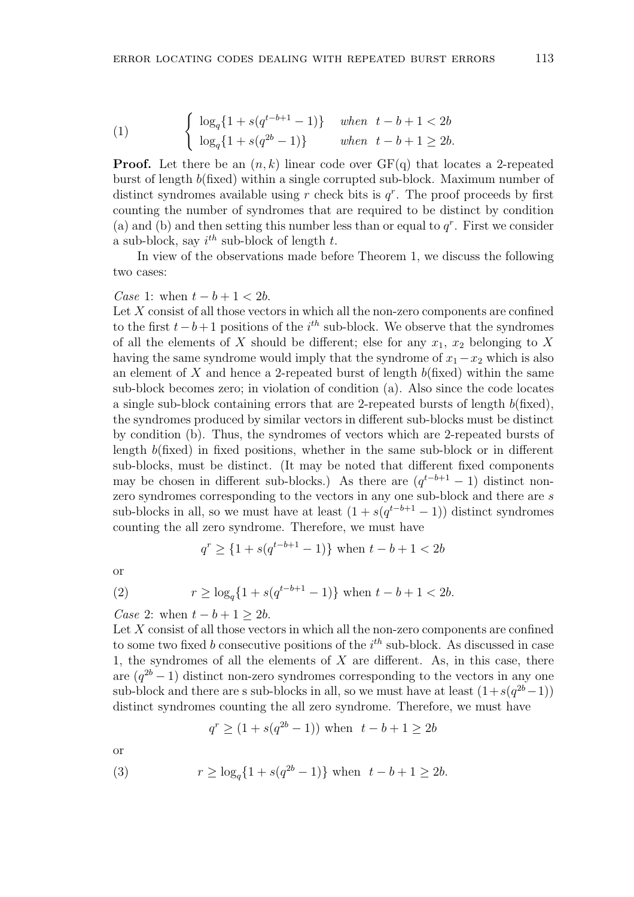(1) 
$$
\begin{cases} \log_q\{1 + s(q^{t-b+1} - 1)\} & when \ t-b+1 < 2b \\ \log_q\{1 + s(q^{2b} - 1)\} & when \ t-b+1 \ge 2b. \end{cases}
$$

**Proof.** Let there be an  $(n, k)$  linear code over  $GF(q)$  that locates a 2-repeated burst of length b(fixed) within a single corrupted sub-block. Maximum number of distinct syndromes available using  $r$  check bits is  $q^r$ . The proof proceeds by first counting the number of syndromes that are required to be distinct by condition (a) and (b) and then setting this number less than or equal to  $q<sup>r</sup>$ . First we consider a sub-block, say  $i^{th}$  sub-block of length t.

In view of the observations made before Theorem 1, we discuss the following two cases:

## Case 1: when  $t - b + 1 < 2b$ .

Let  $X$  consist of all those vectors in which all the non-zero components are confined to the first  $t-b+1$  positions of the i<sup>th</sup> sub-block. We observe that the syndromes of all the elements of X should be different; else for any  $x_1, x_2$  belonging to X having the same syndrome would imply that the syndrome of  $x_1 - x_2$  which is also an element of X and hence a 2-repeated burst of length  $b$ (fixed) within the same sub-block becomes zero; in violation of condition (a). Also since the code locates a single sub-block containing errors that are 2-repeated bursts of length  $b$ (fixed), the syndromes produced by similar vectors in different sub-blocks must be distinct by condition (b). Thus, the syndromes of vectors which are 2-repeated bursts of length b(fixed) in fixed positions, whether in the same sub-block or in different sub-blocks, must be distinct. (It may be noted that different fixed components may be chosen in different sub-blocks.) As there are  $(q^{t-b+1}-1)$  distinct nonzero syndromes corresponding to the vectors in any one sub-block and there are s sub-blocks in all, so we must have at least  $(1 + s(q^{t-b+1} - 1))$  distinct syndromes counting the all zero syndrome. Therefore, we must have

$$
q^r \ge \{1 + s(q^{t-b+1} - 1)\} \text{ when } t - b + 1 < 2b
$$

or

(2) 
$$
r \ge \log_q\{1 + s(q^{t-b+1} - 1)\} \text{ when } t - b + 1 < 2b.
$$

Case 2: when  $t - b + 1 \geq 2b$ .

Let  $X$  consist of all those vectors in which all the non-zero components are confined to some two fixed b consecutive positions of the  $i^{th}$  sub-block. As discussed in case 1, the syndromes of all the elements of  $X$  are different. As, in this case, there are  $(q^{2b}-1)$  distinct non-zero syndromes corresponding to the vectors in any one sub-block and there are s sub-blocks in all, so we must have at least  $(1 + s(q^{2b} - 1))$ distinct syndromes counting the all zero syndrome. Therefore, we must have

$$
q^r \ge (1 + s(q^{2b} - 1))
$$
 when  $t - b + 1 \ge 2b$ 

or

(3) 
$$
r \ge \log_q\{1 + s(q^{2b} - 1)\}\
$$
 when  $t - b + 1 \ge 2b$ .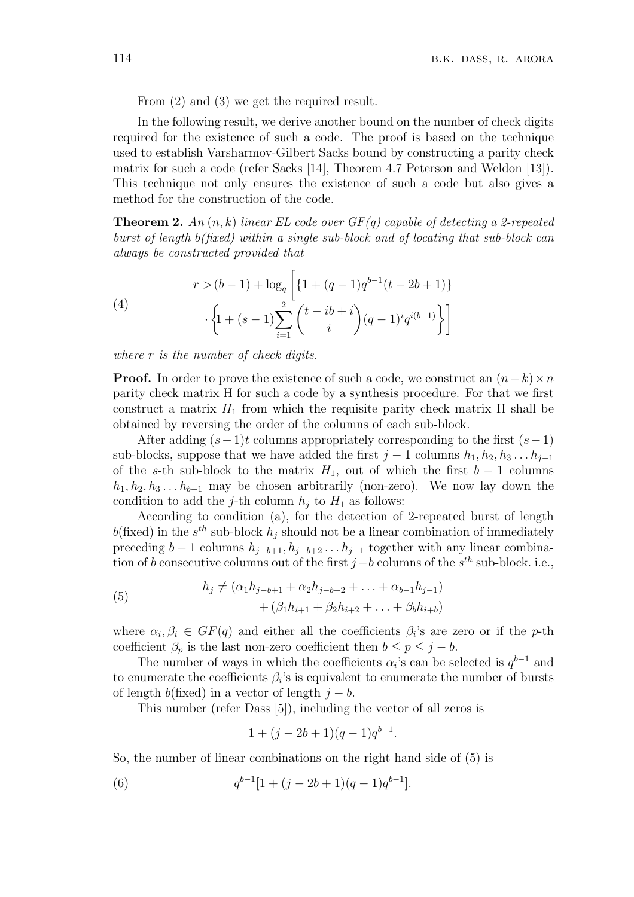From (2) and (3) we get the required result.

In the following result, we derive another bound on the number of check digits required for the existence of such a code. The proof is based on the technique used to establish Varsharmov-Gilbert Sacks bound by constructing a parity check matrix for such a code (refer Sacks [14], Theorem 4.7 Peterson and Weldon [13]). This technique not only ensures the existence of such a code but also gives a method for the construction of the code.

**Theorem 2.** An  $(n, k)$  linear EL code over  $GF(q)$  capable of detecting a 2-repeated burst of length b(fixed) within a single sub-block and of locating that sub-block can always be constructed provided that

(4)  

$$
r > (b-1) + \log_q \left[ \{1 + (q-1)q^{b-1}(t-2b+1)\} + \left\{1 + (s-1)\sum_{i=1}^2 {t - ib + i \choose i} (q-1)^i q^{i(b-1)}\right\} \right]
$$

where r is the number of check digits.

**Proof.** In order to prove the existence of such a code, we construct an  $(n-k) \times n$ parity check matrix H for such a code by a synthesis procedure. For that we first construct a matrix  $H_1$  from which the requisite parity check matrix H shall be obtained by reversing the order of the columns of each sub-block.

After adding  $(s-1)t$  columns appropriately corresponding to the first  $(s-1)$ sub-blocks, suppose that we have added the first  $j - 1$  columns  $h_1, h_2, h_3 \ldots h_{j-1}$ of the s-th sub-block to the matrix  $H_1$ , out of which the first  $b-1$  columns  $h_1, h_2, h_3, \ldots, h_{b-1}$  may be chosen arbitrarily (non-zero). We now lay down the condition to add the j-th column  $h_i$  to  $H_1$  as follows:

According to condition (a), for the detection of 2-repeated burst of length  $b$ (fixed) in the  $s^{th}$  sub-block  $h_j$  should not be a linear combination of immediately preceding  $b-1$  columns  $h_{j-b+1}, h_{j-b+2}, \ldots, h_{j-1}$  together with any linear combination of b consecutive columns out of the first  $j-b$  columns of the  $s^{th}$  sub-block. i.e.,

(5) 
$$
h_j \neq (\alpha_1 h_{j-b+1} + \alpha_2 h_{j-b+2} + \ldots + \alpha_{b-1} h_{j-1}) + (\beta_1 h_{i+1} + \beta_2 h_{i+2} + \ldots + \beta_b h_{i+b})
$$

where  $\alpha_i, \beta_i \in GF(q)$  and either all the coefficients  $\beta_i$ 's are zero or if the p-th coefficient  $\beta_p$  is the last non-zero coefficient then  $b \leq p \leq j - b$ .

The number of ways in which the coefficients  $\alpha_i$ 's can be selected is  $q^{b-1}$  and to enumerate the coefficients  $\beta_i$ 's is equivalent to enumerate the number of bursts of length b(fixed) in a vector of length  $j - b$ .

This number (refer Dass [5]), including the vector of all zeros is

$$
1 + (j - 2b + 1)(q - 1)q^{b-1}.
$$

So, the number of linear combinations on the right hand side of (5) is

(6) 
$$
q^{b-1}[1+(j-2b+1)(q-1)q^{b-1}].
$$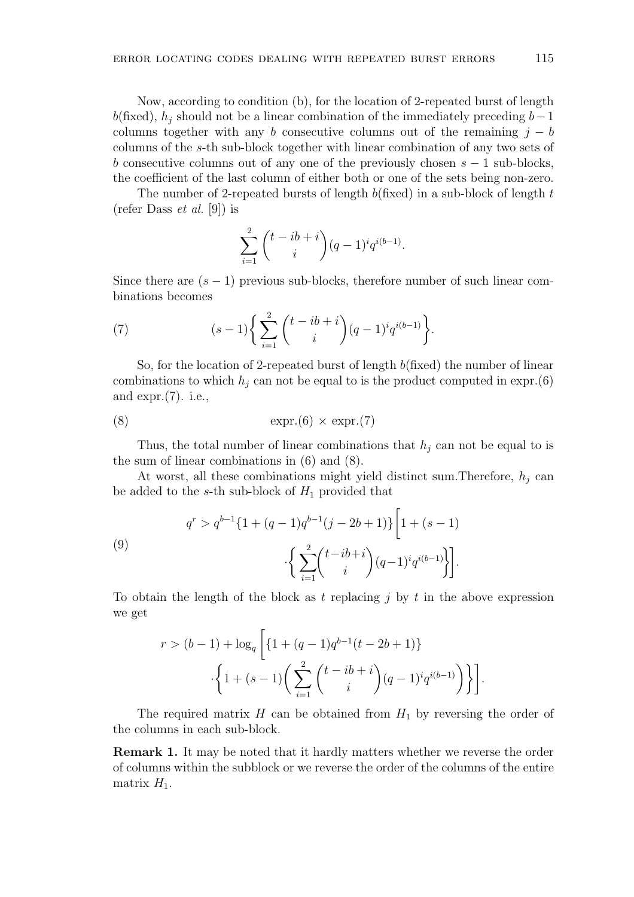Now, according to condition (b), for the location of 2-repeated burst of length b(fixed),  $h_i$  should not be a linear combination of the immediately preceding  $b-1$ columns together with any b consecutive columns out of the remaining  $j - b$ columns of the s-th sub-block together with linear combination of any two sets of b consecutive columns out of any one of the previously chosen  $s - 1$  sub-blocks, the coefficient of the last column of either both or one of the sets being non-zero.

The number of 2-repeated bursts of length  $b$ (fixed) in a sub-block of length t (refer Dass *et al.* [9]) is

$$
\sum_{i=1}^{2} {t - ib + i \choose i} (q-1)^{i} q^{i(b-1)}.
$$

Since there are  $(s - 1)$  previous sub-blocks, therefore number of such linear combinations becomes

(7) 
$$
(s-1)\bigg\{\sum_{i=1}^{2}\binom{t-ib+i}{i}(q-1)^{i}q^{i(b-1)}\bigg\}.
$$

So, for the location of 2-repeated burst of length  $b$ (fixed) the number of linear combinations to which  $h_j$  can not be equal to is the product computed in expr.(6) and expr.(7). i.e.,

$$
\exp(8) \qquad \qquad \exp(6) \times \exp(7)
$$

Thus, the total number of linear combinations that  $h_j$  can not be equal to is the sum of linear combinations in (6) and (8).

At worst, all these combinations might yield distinct sum. Therefore,  $h_j$  can be added to the s-th sub-block of  $H_1$  provided that

(9)  

$$
q^{r} > q^{b-1} \{1 + (q-1)q^{b-1}(j-2b+1)\} \left[1 + (s-1)\right] \cdot \left\{\sum_{i=1}^{2} \binom{t-ib+i}{i} (q-1)^{i} q^{i(b-1)}\right\}.
$$

To obtain the length of the block as t replacing j by t in the above expression we get

$$
r > (b-1) + \log_q \left[ \{ 1 + (q-1)q^{b-1}(t-2b+1) \} \cdot \left\{ 1 + (s-1) \left( \sum_{i=1}^2 \binom{t-ib+i}{i} (q-1)^i q^{i(b-1)} \right) \right\} \right].
$$

The required matrix  $H$  can be obtained from  $H_1$  by reversing the order of the columns in each sub-block.

Remark 1. It may be noted that it hardly matters whether we reverse the order of columns within the subblock or we reverse the order of the columns of the entire matrix  $H_1$ .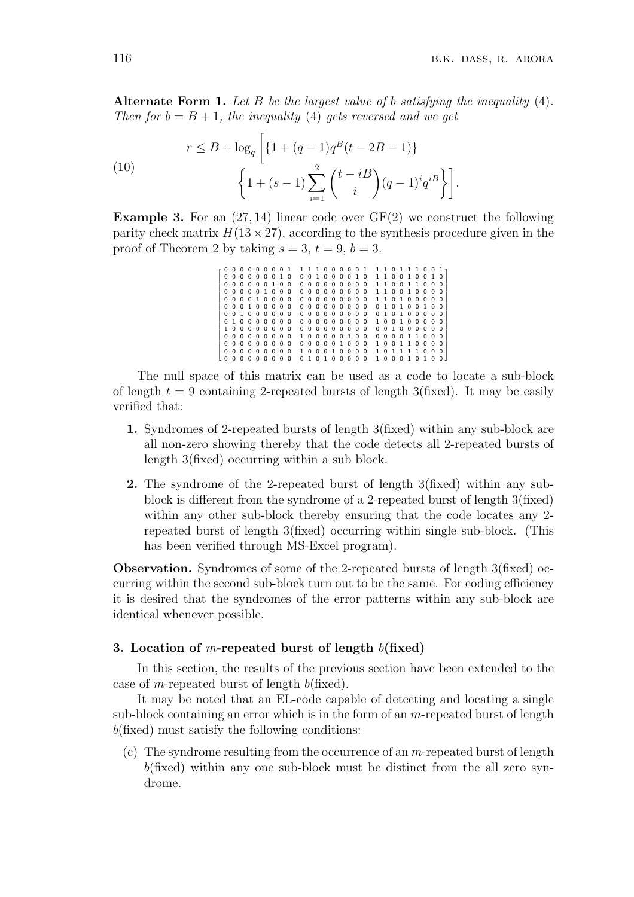Alternate Form 1. Let B be the largest value of b satisfying the inequality  $(4)$ . Then for  $b = B + 1$ , the inequality (4) gets reversed and we get

(10)  

$$
r \leq B + \log_q \left[ \left\{ 1 + (q-1)q^B(t - 2B - 1) \right\} + \left\{ 1 + (s-1) \sum_{i=1}^2 \binom{t - iB}{i} (q-1)^i q^{iB} \right\} \right].
$$

**Example 3.** For an  $(27, 14)$  linear code over  $GF(2)$  we construct the following parity check matrix  $H(13\times27)$ , according to the synthesis procedure given in the proof of Theorem 2 by taking  $s = 3$ ,  $t = 9$ ,  $b = 3$ .

> J.  $\mathbf{I}$ J. Ť. J. Ť. Ť. Ť.  $\begin{array}{|c|c|} \hline \quad \quad & \quad \quad & \quad \quad \\ \hline \quad \quad & \quad \quad & \quad \quad \\ \hline \quad \quad & \quad \quad & \quad \quad \\ \hline \end{array}$ Ť. Ť. Ť. Ť. Ť.  $\begin{array}{cccccccccccc} 0& 0& 0& 0& 0& 0& 0& 0& 1& 1& 1& 1& 0& 0& 0& 0& 0& 1& 1& 1& 0& 0& 1\\ 0& 0& 0& 0& 0& 0& 0& 1& 0& 0& 0& 1& 0& 0& 0& 0& 1& 0& 1& 1& 0& 0& 1& 1& 0& 0& 1\\ 0& 0& 0& 0& 0& 0& 1& 0& 0& 0& 0& 0& 0& 0& 0& 0& 0& 0& 0& 1&$ 0 0 0 0 0 0 0 1 0 0 0 1 0 0 0 0 1 0 1 1 0 0 1 0 0 1 0 0 0 0 0 0 0 1 0 0 0 0 0 0 0 0 0 0 0 1 1 0 0 1 1 0 0 0 0 0 0 0 0 1 0 0 0 0 0 0 0 0 0 0 0 0 1 1 0 0 1 0 0 0 0 0 0 0 0 1 0 0 0 0 0 0 0 0 0 0 0 0 0 1 1 0 1 0 0 0 0 0 0 0 0 1 0 0 0 0 0 0 0 0 0 0 0 0 0 0 0 1 0 1 0 0 1 0 0 0 0 1 0 0 0 0 0 0 0 0 0 0 0 0 0 0 0 0 1 0 1 0 0 0 0 0 0 1 0 0 0 0 0 0 0 0 0 0 0 0 0 0 0 0 1 0 0 1 0 0 0 0 0 1 0 0 0 0 0 0 0 0 0 0 0 0 0 0 0 0 0 0 0 1 0 0 0 0 0 0 0 0 0 0 0 0 0 0 0 1 0 0 0 0 0 1 0 0 0 0 0 0 1 1 0 0 0 0 0 0 0 0 0 0 0 0 0 0 0 0 0 1 0 0 0 1 0 0 1 1 0 0 0 0 0 0 0 0 0 0 0 0 0 1 0 0 0 1 0 0 0 0 1 0 1 1 1 1 0 0 0 0 0 0 0 0 0 0 0 0 0 1 0 1 0 0 0 0 0 1 0 0 0 1 0 1 0 0  $\overline{a}$  $\mathbf{L}$ L İ. L L İ. L İ. L İ. L L L L L L L L L

The null space of this matrix can be used as a code to locate a sub-block of length  $t = 9$  containing 2-repeated bursts of length 3(fixed). It may be easily verified that:

- 1. Syndromes of 2-repeated bursts of length 3(fixed) within any sub-block are all non-zero showing thereby that the code detects all 2-repeated bursts of length 3(fixed) occurring within a sub block.
- 2. The syndrome of the 2-repeated burst of length 3(fixed) within any subblock is different from the syndrome of a 2-repeated burst of length 3(fixed) within any other sub-block thereby ensuring that the code locates any 2 repeated burst of length 3(fixed) occurring within single sub-block. (This has been verified through MS-Excel program).

Observation. Syndromes of some of the 2-repeated bursts of length 3(fixed) occurring within the second sub-block turn out to be the same. For coding efficiency it is desired that the syndromes of the error patterns within any sub-block are identical whenever possible.

#### 3. Location of m-repeated burst of length  $b$ (fixed)

In this section, the results of the previous section have been extended to the case of m-repeated burst of length  $b$ (fixed).

It may be noted that an EL-code capable of detecting and locating a single sub-block containing an error which is in the form of an  $m$ -repeated burst of length  $b$ (fixed) must satisfy the following conditions:

(c) The syndrome resulting from the occurrence of an  $m$ -repeated burst of length  $b$ (fixed) within any one sub-block must be distinct from the all zero syndrome.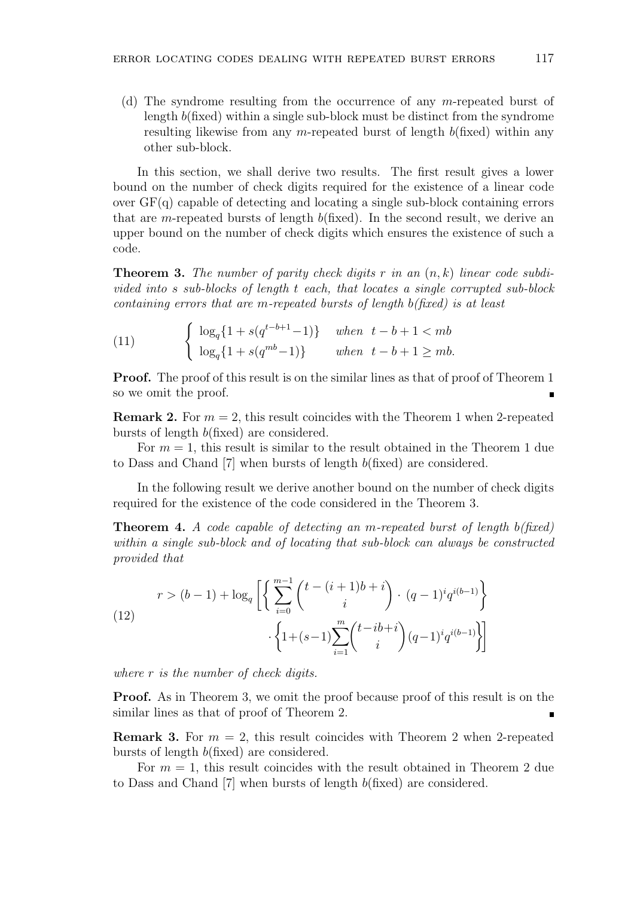(d) The syndrome resulting from the occurrence of any m-repeated burst of length b(fixed) within a single sub-block must be distinct from the syndrome resulting likewise from any m-repeated burst of length  $b$ (fixed) within any other sub-block.

In this section, we shall derive two results. The first result gives a lower bound on the number of check digits required for the existence of a linear code over GF(q) capable of detecting and locating a single sub-block containing errors that are m-repeated bursts of length  $b$ (fixed). In the second result, we derive an upper bound on the number of check digits which ensures the existence of such a code.

**Theorem 3.** The number of parity check digits r in an  $(n, k)$  linear code subdivided into s sub-blocks of length t each, that locates a single corrupted sub-block containing errors that are m-repeated bursts of length b(fixed) is at least

(11) 
$$
\begin{cases} \log_q\{1 + s(q^{t-b+1} - 1)\} & when \ t-b+1 < mb \\ \log_q\{1 + s(q^{mb} - 1)\} & when \ t-b+1 \geq mb. \end{cases}
$$

Proof. The proof of this result is on the similar lines as that of proof of Theorem 1 so we omit the proof.

**Remark 2.** For  $m = 2$ , this result coincides with the Theorem 1 when 2-repeated bursts of length b(fixed) are considered.

For  $m = 1$ , this result is similar to the result obtained in the Theorem 1 due to Dass and Chand [7] when bursts of length b(fixed) are considered.

In the following result we derive another bound on the number of check digits required for the existence of the code considered in the Theorem 3.

**Theorem 4.** A code capable of detecting an m-repeated burst of length  $b$ (fixed) within a single sub-block and of locating that sub-block can always be constructed provided that

(12) 
$$
r > (b-1) + \log_q \left[ \left\{ \sum_{i=0}^{m-1} {t - (i+1)b + i \choose i} \cdot (q-1)^i q^{i(b-1)} \right\} \cdot \left\{ 1 + (s-1) \sum_{i=1}^m {t - ib + i \choose i} (q-1)^i q^{i(b-1)} \right\} \right]
$$

where r is the number of check digits.

Proof. As in Theorem 3, we omit the proof because proof of this result is on the similar lines as that of proof of Theorem 2.

**Remark 3.** For  $m = 2$ , this result coincides with Theorem 2 when 2-repeated bursts of length b(fixed) are considered.

For  $m = 1$ , this result coincides with the result obtained in Theorem 2 due to Dass and Chand [7] when bursts of length b(fixed) are considered.